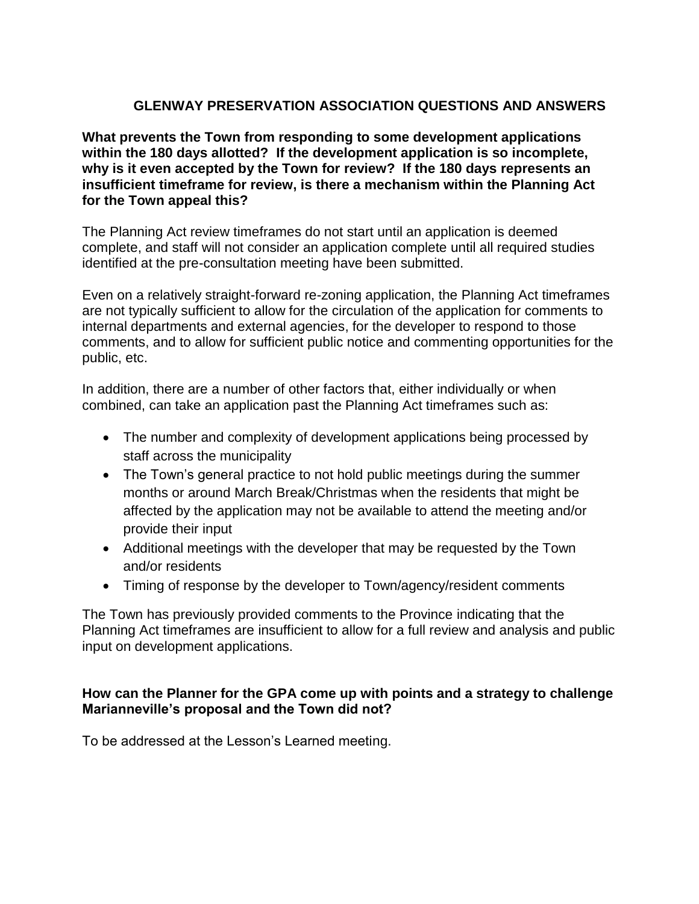# **GLENWAY PRESERVATION ASSOCIATION QUESTIONS AND ANSWERS**

**What prevents the Town from responding to some development applications within the 180 days allotted? If the development application is so incomplete, why is it even accepted by the Town for review? If the 180 days represents an insufficient timeframe for review, is there a mechanism within the Planning Act for the Town appeal this?** 

The Planning Act review timeframes do not start until an application is deemed complete, and staff will not consider an application complete until all required studies identified at the pre-consultation meeting have been submitted.

Even on a relatively straight-forward re-zoning application, the Planning Act timeframes are not typically sufficient to allow for the circulation of the application for comments to internal departments and external agencies, for the developer to respond to those comments, and to allow for sufficient public notice and commenting opportunities for the public, etc.

In addition, there are a number of other factors that, either individually or when combined, can take an application past the Planning Act timeframes such as:

- The number and complexity of development applications being processed by staff across the municipality
- The Town's general practice to not hold public meetings during the summer months or around March Break/Christmas when the residents that might be affected by the application may not be available to attend the meeting and/or provide their input
- Additional meetings with the developer that may be requested by the Town and/or residents
- Timing of response by the developer to Town/agency/resident comments

The Town has previously provided comments to the Province indicating that the Planning Act timeframes are insufficient to allow for a full review and analysis and public input on development applications.

## **How can the Planner for the GPA come up with points and a strategy to challenge Marianneville's proposal and the Town did not?**

To be addressed at the Lesson's Learned meeting.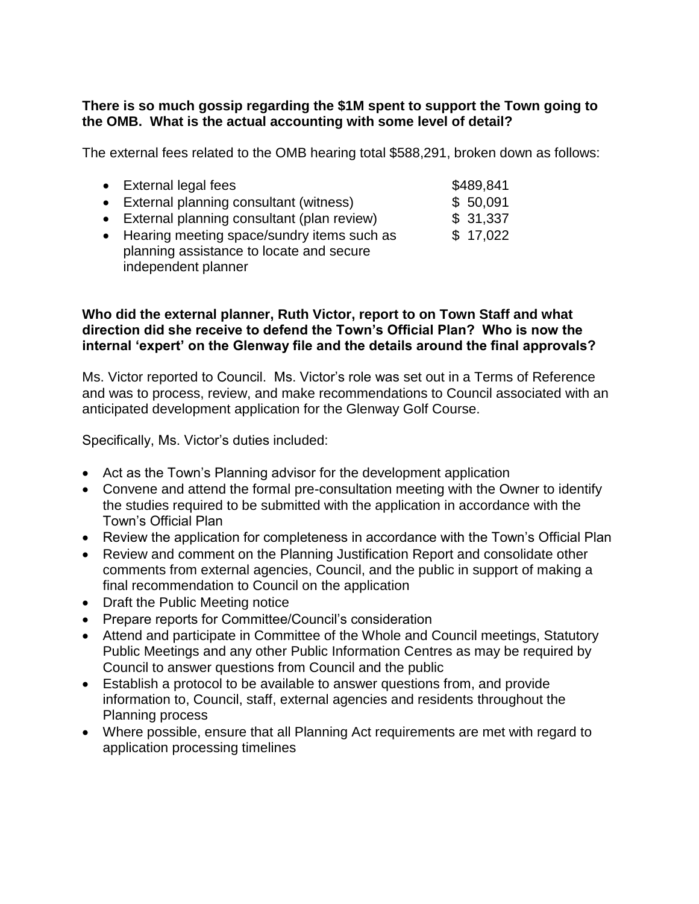# **There is so much gossip regarding the \$1M spent to support the Town going to the OMB. What is the actual accounting with some level of detail?**

The external fees related to the OMB hearing total \$588,291, broken down as follows:

| • External legal fees                        | \$489,841 |
|----------------------------------------------|-----------|
| • External planning consultant (witness)     | \$50,091  |
| • External planning consultant (plan review) | \$31,337  |
| • Hearing meeting space/sundry items such as | \$17,022  |
| planning assistance to locate and secure     |           |

# independent planner

#### **Who did the external planner, Ruth Victor, report to on Town Staff and what direction did she receive to defend the Town's Official Plan? Who is now the internal 'expert' on the Glenway file and the details around the final approvals?**

Ms. Victor reported to Council. Ms. Victor's role was set out in a Terms of Reference and was to process, review, and make recommendations to Council associated with an anticipated development application for the Glenway Golf Course.

Specifically, Ms. Victor's duties included:

- Act as the Town's Planning advisor for the development application
- Convene and attend the formal pre-consultation meeting with the Owner to identify the studies required to be submitted with the application in accordance with the Town's Official Plan
- Review the application for completeness in accordance with the Town's Official Plan
- Review and comment on the Planning Justification Report and consolidate other comments from external agencies, Council, and the public in support of making a final recommendation to Council on the application
- Draft the Public Meeting notice
- Prepare reports for Committee/Council's consideration
- Attend and participate in Committee of the Whole and Council meetings, Statutory Public Meetings and any other Public Information Centres as may be required by Council to answer questions from Council and the public
- Establish a protocol to be available to answer questions from, and provide information to, Council, staff, external agencies and residents throughout the Planning process
- Where possible, ensure that all Planning Act requirements are met with regard to application processing timelines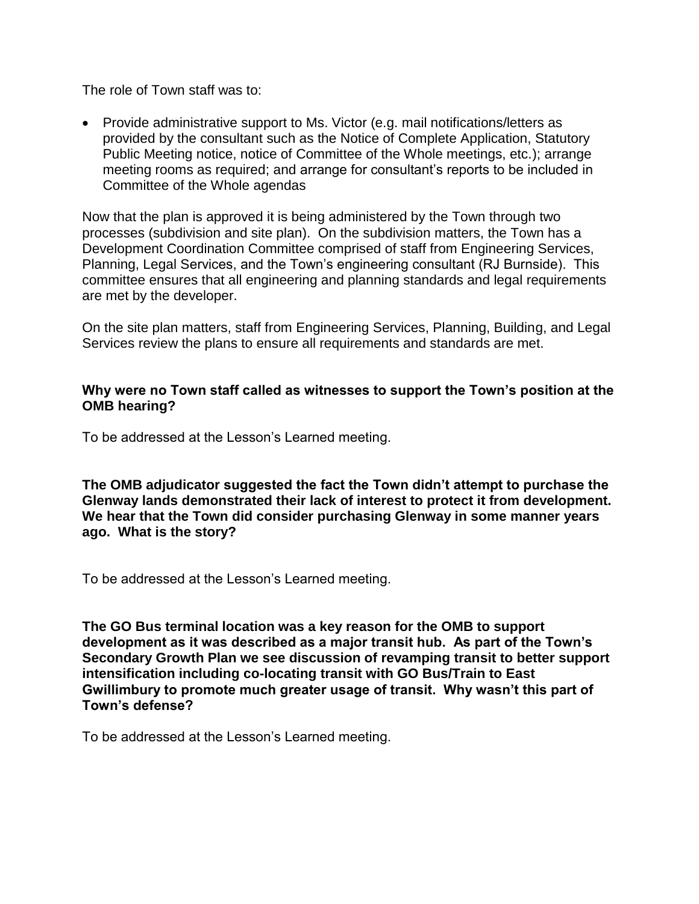The role of Town staff was to:

• Provide administrative support to Ms. Victor (e.g. mail notifications/letters as provided by the consultant such as the Notice of Complete Application, Statutory Public Meeting notice, notice of Committee of the Whole meetings, etc.); arrange meeting rooms as required; and arrange for consultant's reports to be included in Committee of the Whole agendas

Now that the plan is approved it is being administered by the Town through two processes (subdivision and site plan). On the subdivision matters, the Town has a Development Coordination Committee comprised of staff from Engineering Services, Planning, Legal Services, and the Town's engineering consultant (RJ Burnside). This committee ensures that all engineering and planning standards and legal requirements are met by the developer.

On the site plan matters, staff from Engineering Services, Planning, Building, and Legal Services review the plans to ensure all requirements and standards are met.

#### **Why were no Town staff called as witnesses to support the Town's position at the OMB hearing?**

To be addressed at the Lesson's Learned meeting.

**The OMB adjudicator suggested the fact the Town didn't attempt to purchase the Glenway lands demonstrated their lack of interest to protect it from development. We hear that the Town did consider purchasing Glenway in some manner years ago. What is the story?** 

To be addressed at the Lesson's Learned meeting.

**The GO Bus terminal location was a key reason for the OMB to support development as it was described as a major transit hub. As part of the Town's Secondary Growth Plan we see discussion of revamping transit to better support intensification including co-locating transit with GO Bus/Train to East Gwillimbury to promote much greater usage of transit. Why wasn't this part of Town's defense?**

To be addressed at the Lesson's Learned meeting.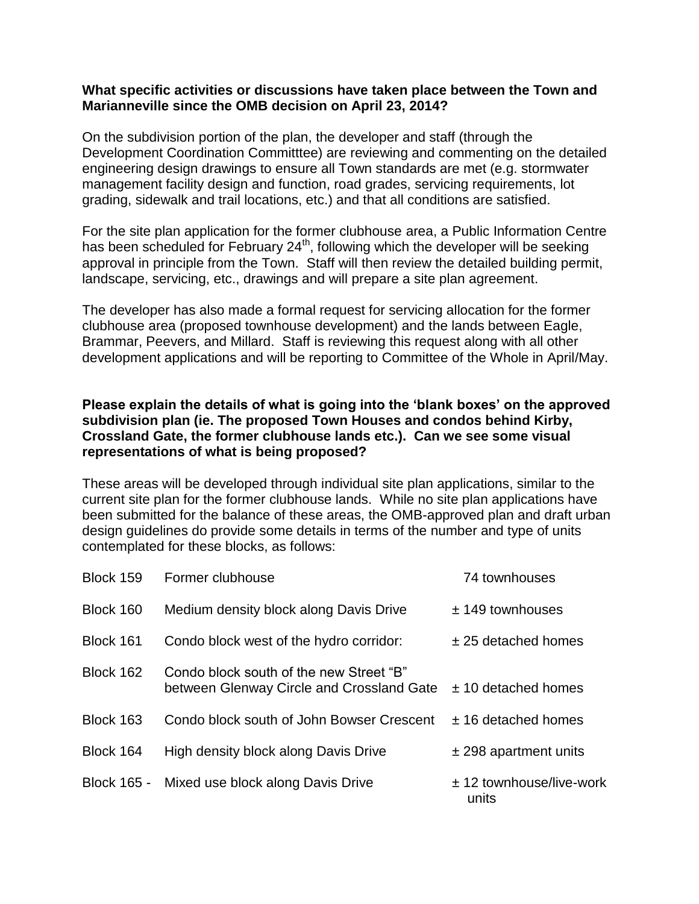#### **What specific activities or discussions have taken place between the Town and Marianneville since the OMB decision on April 23, 2014?**

On the subdivision portion of the plan, the developer and staff (through the Development Coordination Committtee) are reviewing and commenting on the detailed engineering design drawings to ensure all Town standards are met (e.g. stormwater management facility design and function, road grades, servicing requirements, lot grading, sidewalk and trail locations, etc.) and that all conditions are satisfied.

For the site plan application for the former clubhouse area, a Public Information Centre has been scheduled for February  $24<sup>th</sup>$ , following which the developer will be seeking approval in principle from the Town. Staff will then review the detailed building permit, landscape, servicing, etc., drawings and will prepare a site plan agreement.

The developer has also made a formal request for servicing allocation for the former clubhouse area (proposed townhouse development) and the lands between Eagle, Brammar, Peevers, and Millard. Staff is reviewing this request along with all other development applications and will be reporting to Committee of the Whole in April/May.

#### **Please explain the details of what is going into the 'blank boxes' on the approved subdivision plan (ie. The proposed Town Houses and condos behind Kirby, Crossland Gate, the former clubhouse lands etc.). Can we see some visual representations of what is being proposed?**

These areas will be developed through individual site plan applications, similar to the current site plan for the former clubhouse lands. While no site plan applications have been submitted for the balance of these areas, the OMB-approved plan and draft urban design guidelines do provide some details in terms of the number and type of units contemplated for these blocks, as follows:

| Block 159   | Former clubhouse                                                                     | 74 townhouses                       |
|-------------|--------------------------------------------------------------------------------------|-------------------------------------|
| Block 160   | Medium density block along Davis Drive                                               | $± 149$ townhouses                  |
| Block 161   | Condo block west of the hydro corridor:                                              | $±$ 25 detached homes               |
| Block 162   | Condo block south of the new Street "B"<br>between Glenway Circle and Crossland Gate | $± 10$ detached homes               |
| Block 163   | Condo block south of John Bowser Crescent                                            | $±$ 16 detached homes               |
| Block 164   | High density block along Davis Drive                                                 | $±$ 298 apartment units             |
| Block 165 - | Mixed use block along Davis Drive                                                    | $± 12$ townhouse/live-work<br>units |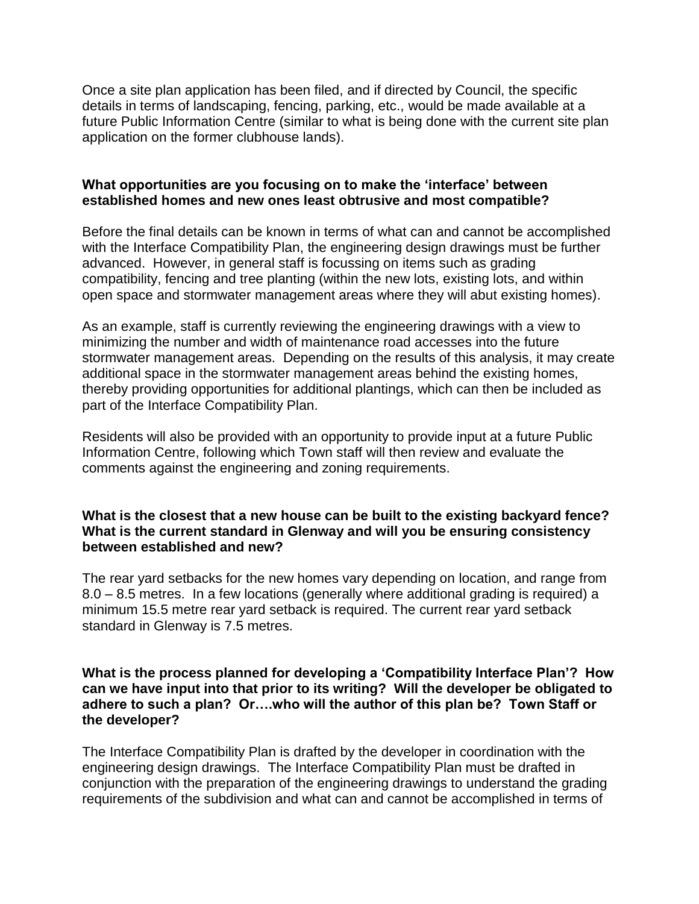Once a site plan application has been filed, and if directed by Council, the specific details in terms of landscaping, fencing, parking, etc., would be made available at a future Public Information Centre (similar to what is being done with the current site plan application on the former clubhouse lands).

#### **What opportunities are you focusing on to make the 'interface' between established homes and new ones least obtrusive and most compatible?**

Before the final details can be known in terms of what can and cannot be accomplished with the Interface Compatibility Plan, the engineering design drawings must be further advanced. However, in general staff is focussing on items such as grading compatibility, fencing and tree planting (within the new lots, existing lots, and within open space and stormwater management areas where they will abut existing homes).

As an example, staff is currently reviewing the engineering drawings with a view to minimizing the number and width of maintenance road accesses into the future stormwater management areas. Depending on the results of this analysis, it may create additional space in the stormwater management areas behind the existing homes, thereby providing opportunities for additional plantings, which can then be included as part of the Interface Compatibility Plan.

Residents will also be provided with an opportunity to provide input at a future Public Information Centre, following which Town staff will then review and evaluate the comments against the engineering and zoning requirements.

#### **What is the closest that a new house can be built to the existing backyard fence? What is the current standard in Glenway and will you be ensuring consistency between established and new?**

The rear yard setbacks for the new homes vary depending on location, and range from 8.0 – 8.5 metres. In a few locations (generally where additional grading is required) a minimum 15.5 metre rear yard setback is required. The current rear yard setback standard in Glenway is 7.5 metres.

#### **What is the process planned for developing a 'Compatibility Interface Plan'? How can we have input into that prior to its writing? Will the developer be obligated to adhere to such a plan? Or….who will the author of this plan be? Town Staff or the developer?**

The Interface Compatibility Plan is drafted by the developer in coordination with the engineering design drawings. The Interface Compatibility Plan must be drafted in conjunction with the preparation of the engineering drawings to understand the grading requirements of the subdivision and what can and cannot be accomplished in terms of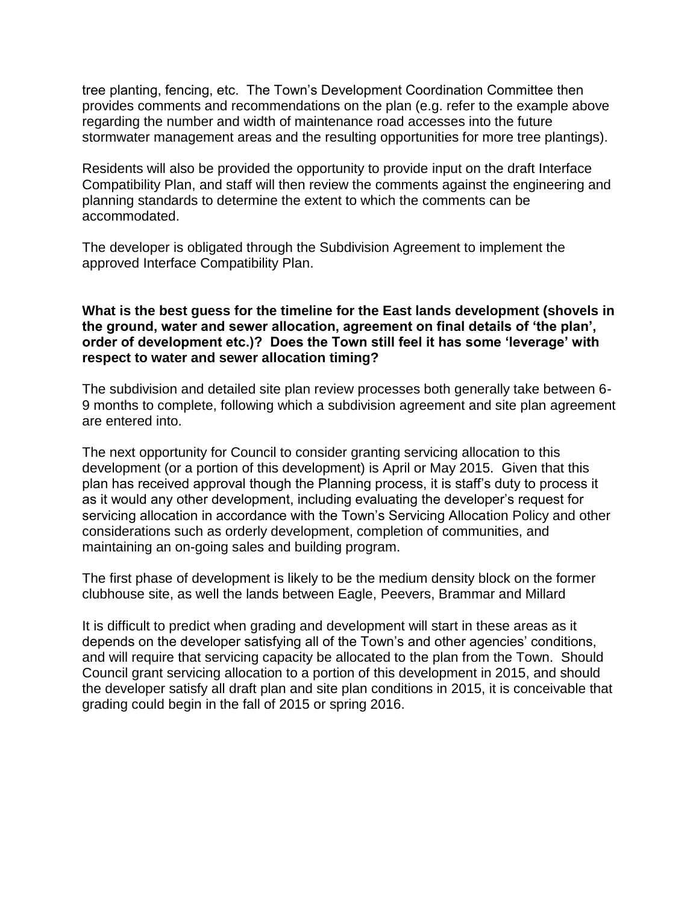tree planting, fencing, etc. The Town's Development Coordination Committee then provides comments and recommendations on the plan (e.g. refer to the example above regarding the number and width of maintenance road accesses into the future stormwater management areas and the resulting opportunities for more tree plantings).

Residents will also be provided the opportunity to provide input on the draft Interface Compatibility Plan, and staff will then review the comments against the engineering and planning standards to determine the extent to which the comments can be accommodated.

The developer is obligated through the Subdivision Agreement to implement the approved Interface Compatibility Plan.

#### **What is the best guess for the timeline for the East lands development (shovels in the ground, water and sewer allocation, agreement on final details of 'the plan', order of development etc.)? Does the Town still feel it has some 'leverage' with respect to water and sewer allocation timing?**

The subdivision and detailed site plan review processes both generally take between 6- 9 months to complete, following which a subdivision agreement and site plan agreement are entered into.

The next opportunity for Council to consider granting servicing allocation to this development (or a portion of this development) is April or May 2015. Given that this plan has received approval though the Planning process, it is staff's duty to process it as it would any other development, including evaluating the developer's request for servicing allocation in accordance with the Town's Servicing Allocation Policy and other considerations such as orderly development, completion of communities, and maintaining an on-going sales and building program.

The first phase of development is likely to be the medium density block on the former clubhouse site, as well the lands between Eagle, Peevers, Brammar and Millard

It is difficult to predict when grading and development will start in these areas as it depends on the developer satisfying all of the Town's and other agencies' conditions, and will require that servicing capacity be allocated to the plan from the Town. Should Council grant servicing allocation to a portion of this development in 2015, and should the developer satisfy all draft plan and site plan conditions in 2015, it is conceivable that grading could begin in the fall of 2015 or spring 2016.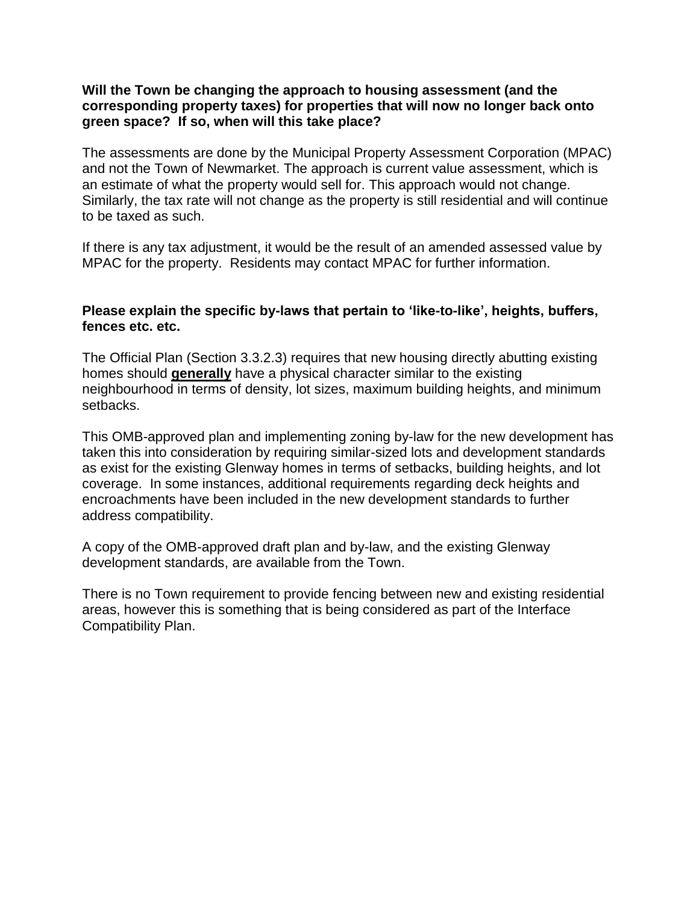#### **Will the Town be changing the approach to housing assessment (and the corresponding property taxes) for properties that will now no longer back onto green space? If so, when will this take place?**

The assessments are done by the Municipal Property Assessment Corporation (MPAC) and not the Town of Newmarket. The approach is current value assessment, which is an estimate of what the property would sell for. This approach would not change. Similarly, the tax rate will not change as the property is still residential and will continue to be taxed as such.

If there is any tax adjustment, it would be the result of an amended assessed value by MPAC for the property. Residents may contact MPAC for further information.

#### **Please explain the specific by-laws that pertain to 'like-to-like', heights, buffers, fences etc. etc.**

The Official Plan (Section 3.3.2.3) requires that new housing directly abutting existing homes should **generally** have a physical character similar to the existing neighbourhood in terms of density, lot sizes, maximum building heights, and minimum setbacks.

This OMB-approved plan and implementing zoning by-law for the new development has taken this into consideration by requiring similar-sized lots and development standards as exist for the existing Glenway homes in terms of setbacks, building heights, and lot coverage. In some instances, additional requirements regarding deck heights and encroachments have been included in the new development standards to further address compatibility.

A copy of the OMB-approved draft plan and by-law, and the existing Glenway development standards, are available from the Town.

There is no Town requirement to provide fencing between new and existing residential areas, however this is something that is being considered as part of the Interface Compatibility Plan.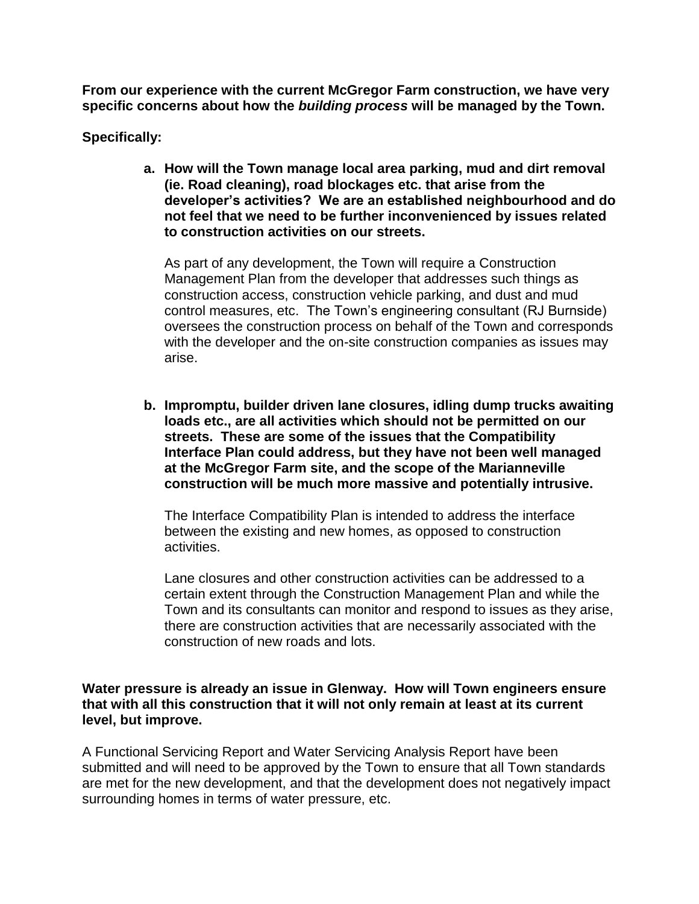**From our experience with the current McGregor Farm construction, we have very specific concerns about how the** *building process* **will be managed by the Town.** 

**Specifically:** 

**a. How will the Town manage local area parking, mud and dirt removal (ie. Road cleaning), road blockages etc. that arise from the developer's activities? We are an established neighbourhood and do not feel that we need to be further inconvenienced by issues related to construction activities on our streets.** 

As part of any development, the Town will require a Construction Management Plan from the developer that addresses such things as construction access, construction vehicle parking, and dust and mud control measures, etc. The Town's engineering consultant (RJ Burnside) oversees the construction process on behalf of the Town and corresponds with the developer and the on-site construction companies as issues may arise.

**b. Impromptu, builder driven lane closures, idling dump trucks awaiting loads etc., are all activities which should not be permitted on our streets. These are some of the issues that the Compatibility Interface Plan could address, but they have not been well managed at the McGregor Farm site, and the scope of the Marianneville construction will be much more massive and potentially intrusive.** 

The Interface Compatibility Plan is intended to address the interface between the existing and new homes, as opposed to construction activities.

Lane closures and other construction activities can be addressed to a certain extent through the Construction Management Plan and while the Town and its consultants can monitor and respond to issues as they arise, there are construction activities that are necessarily associated with the construction of new roads and lots.

#### **Water pressure is already an issue in Glenway. How will Town engineers ensure that with all this construction that it will not only remain at least at its current level, but improve.**

A Functional Servicing Report and Water Servicing Analysis Report have been submitted and will need to be approved by the Town to ensure that all Town standards are met for the new development, and that the development does not negatively impact surrounding homes in terms of water pressure, etc.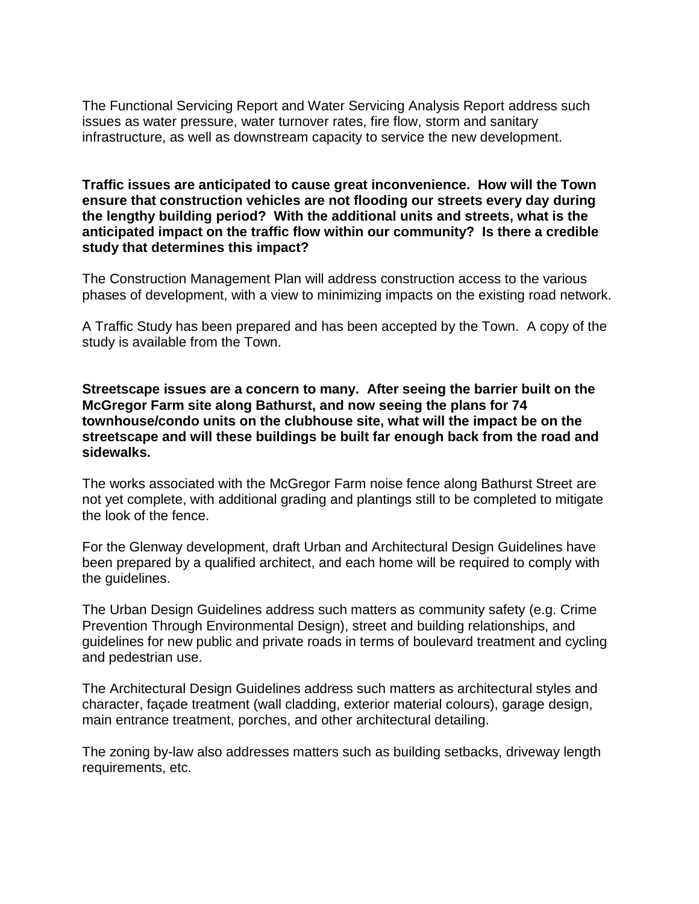The Functional Servicing Report and Water Servicing Analysis Report address such issues as water pressure, water turnover rates, fire flow, storm and sanitary infrastructure, as well as downstream capacity to service the new development.

#### **Traffic issues are anticipated to cause great inconvenience. How will the Town ensure that construction vehicles are not flooding our streets every day during the lengthy building period? With the additional units and streets, what is the anticipated impact on the traffic flow within our community? Is there a credible study that determines this impact?**

The Construction Management Plan will address construction access to the various phases of development, with a view to minimizing impacts on the existing road network.

A Traffic Study has been prepared and has been accepted by the Town. A copy of the study is available from the Town.

**Streetscape issues are a concern to many. After seeing the barrier built on the McGregor Farm site along Bathurst, and now seeing the plans for 74 townhouse/condo units on the clubhouse site, what will the impact be on the streetscape and will these buildings be built far enough back from the road and sidewalks.** 

The works associated with the McGregor Farm noise fence along Bathurst Street are not yet complete, with additional grading and plantings still to be completed to mitigate the look of the fence.

For the Glenway development, draft Urban and Architectural Design Guidelines have been prepared by a qualified architect, and each home will be required to comply with the guidelines.

The Urban Design Guidelines address such matters as community safety (e.g. Crime Prevention Through Environmental Design), street and building relationships, and guidelines for new public and private roads in terms of boulevard treatment and cycling and pedestrian use.

The Architectural Design Guidelines address such matters as architectural styles and character, façade treatment (wall cladding, exterior material colours), garage design, main entrance treatment, porches, and other architectural detailing.

The zoning by-law also addresses matters such as building setbacks, driveway length requirements, etc.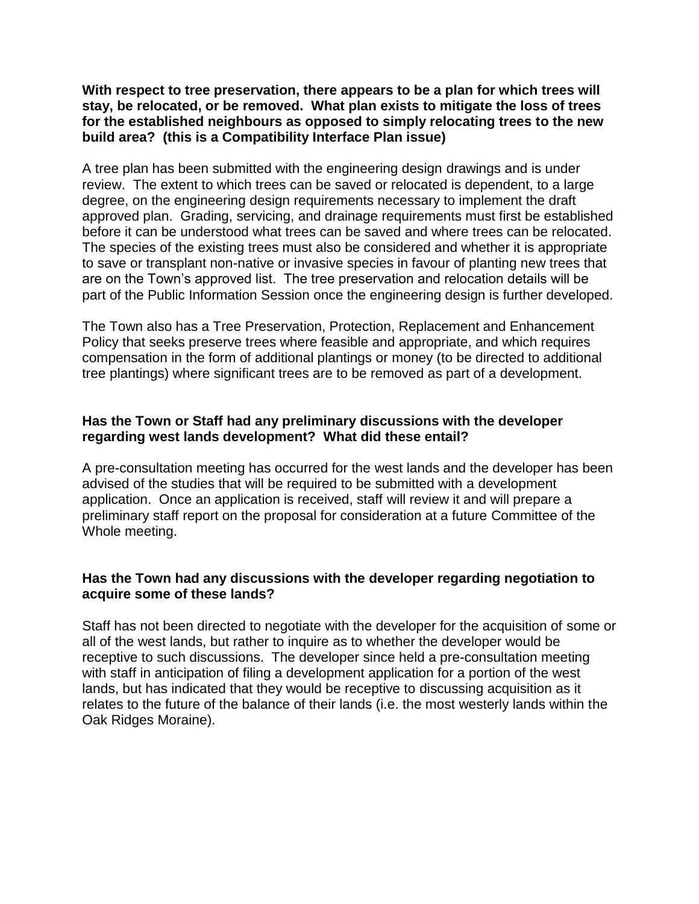**With respect to tree preservation, there appears to be a plan for which trees will stay, be relocated, or be removed. What plan exists to mitigate the loss of trees for the established neighbours as opposed to simply relocating trees to the new build area? (this is a Compatibility Interface Plan issue)** 

A tree plan has been submitted with the engineering design drawings and is under review. The extent to which trees can be saved or relocated is dependent, to a large degree, on the engineering design requirements necessary to implement the draft approved plan. Grading, servicing, and drainage requirements must first be established before it can be understood what trees can be saved and where trees can be relocated. The species of the existing trees must also be considered and whether it is appropriate to save or transplant non-native or invasive species in favour of planting new trees that are on the Town's approved list. The tree preservation and relocation details will be part of the Public Information Session once the engineering design is further developed.

The Town also has a Tree Preservation, Protection, Replacement and Enhancement Policy that seeks preserve trees where feasible and appropriate, and which requires compensation in the form of additional plantings or money (to be directed to additional tree plantings) where significant trees are to be removed as part of a development.

## **Has the Town or Staff had any preliminary discussions with the developer regarding west lands development? What did these entail?**

A pre-consultation meeting has occurred for the west lands and the developer has been advised of the studies that will be required to be submitted with a development application. Once an application is received, staff will review it and will prepare a preliminary staff report on the proposal for consideration at a future Committee of the Whole meeting.

## **Has the Town had any discussions with the developer regarding negotiation to acquire some of these lands?**

Staff has not been directed to negotiate with the developer for the acquisition of some or all of the west lands, but rather to inquire as to whether the developer would be receptive to such discussions. The developer since held a pre-consultation meeting with staff in anticipation of filing a development application for a portion of the west lands, but has indicated that they would be receptive to discussing acquisition as it relates to the future of the balance of their lands (i.e. the most westerly lands within the Oak Ridges Moraine).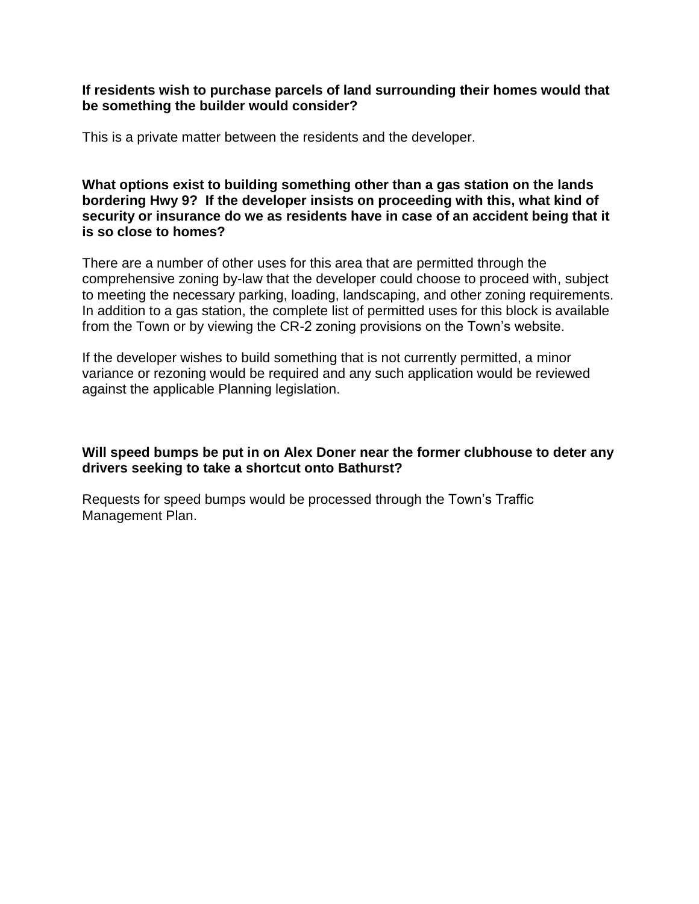#### **If residents wish to purchase parcels of land surrounding their homes would that be something the builder would consider?**

This is a private matter between the residents and the developer.

**What options exist to building something other than a gas station on the lands bordering Hwy 9? If the developer insists on proceeding with this, what kind of security or insurance do we as residents have in case of an accident being that it is so close to homes?**

There are a number of other uses for this area that are permitted through the comprehensive zoning by-law that the developer could choose to proceed with, subject to meeting the necessary parking, loading, landscaping, and other zoning requirements. In addition to a gas station, the complete list of permitted uses for this block is available from the Town or by viewing the CR-2 zoning provisions on the Town's website.

If the developer wishes to build something that is not currently permitted, a minor variance or rezoning would be required and any such application would be reviewed against the applicable Planning legislation.

#### **Will speed bumps be put in on Alex Doner near the former clubhouse to deter any drivers seeking to take a shortcut onto Bathurst?**

Requests for speed bumps would be processed through the Town's Traffic Management Plan.